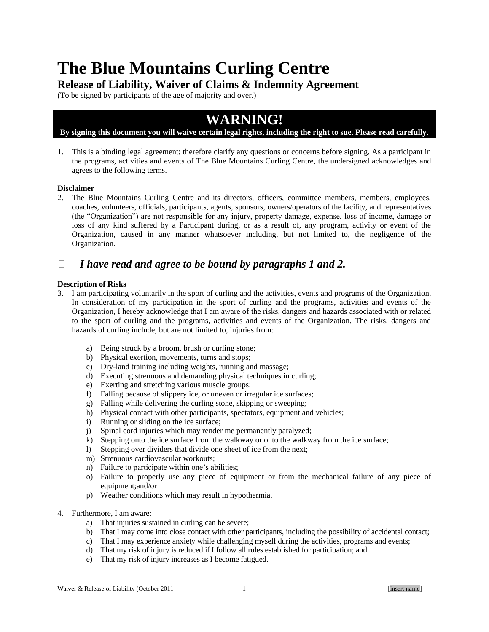# **The Blue Mountains Curling Centre**

## **Release of Liability, Waiver of Claims & Indemnity Agreement**

(To be signed by participants of the age of majority and over.)

## **WARNING!**

### **By signing this document you will waive certain legal rights, including the right to sue. Please read carefully.**

1. This is a binding legal agreement; therefore clarify any questions or concerns before signing. As a participant in the programs, activities and events of The Blue Mountains Curling Centre, the undersigned acknowledges and agrees to the following terms.

#### **Disclaimer**

2. The Blue Mountains Curling Centre and its directors, officers, committee members, members, employees, coaches, volunteers, officials, participants, agents, sponsors, owners/operators of the facility, and representatives (the "Organization") are not responsible for any injury, property damage, expense, loss of income, damage or loss of any kind suffered by a Participant during, or as a result of, any program, activity or event of the Organization, caused in any manner whatsoever including, but not limited to, the negligence of the Organization.

## *I have read and agree to be bound by paragraphs 1 and 2.*

#### **Description of Risks**

- 3. I am participating voluntarily in the sport of curling and the activities, events and programs of the Organization. In consideration of my participation in the sport of curling and the programs, activities and events of the Organization, I hereby acknowledge that I am aware of the risks, dangers and hazards associated with or related to the sport of curling and the programs, activities and events of the Organization. The risks, dangers and hazards of curling include, but are not limited to, injuries from:
	- a) Being struck by a broom, brush or curling stone;
	- b) Physical exertion, movements, turns and stops;
	- c) Dry-land training including weights, running and massage;
	- d) Executing strenuous and demanding physical techniques in curling;
	- e) Exerting and stretching various muscle groups;
	- f) Falling because of slippery ice, or uneven or irregular ice surfaces;
	- g) Falling while delivering the curling stone, skipping or sweeping;
	- h) Physical contact with other participants, spectators, equipment and vehicles;
	- i) Running or sliding on the ice surface;
	- j) Spinal cord injuries which may render me permanently paralyzed;
	- k) Stepping onto the ice surface from the walkway or onto the walkway from the ice surface;
	- l) Stepping over dividers that divide one sheet of ice from the next;
	- m) Strenuous cardiovascular workouts;
	- n) Failure to participate within one's abilities;
	- o) Failure to properly use any piece of equipment or from the mechanical failure of any piece of equipment;and/or
	- p) Weather conditions which may result in hypothermia.
- 4. Furthermore, I am aware:
	- a) That injuries sustained in curling can be severe;
	- b) That I may come into close contact with other participants, including the possibility of accidental contact;
	- c) That I may experience anxiety while challenging myself during the activities, programs and events;
	- d) That my risk of injury is reduced if I follow all rules established for participation; and
	- e) That my risk of injury increases as I become fatigued.